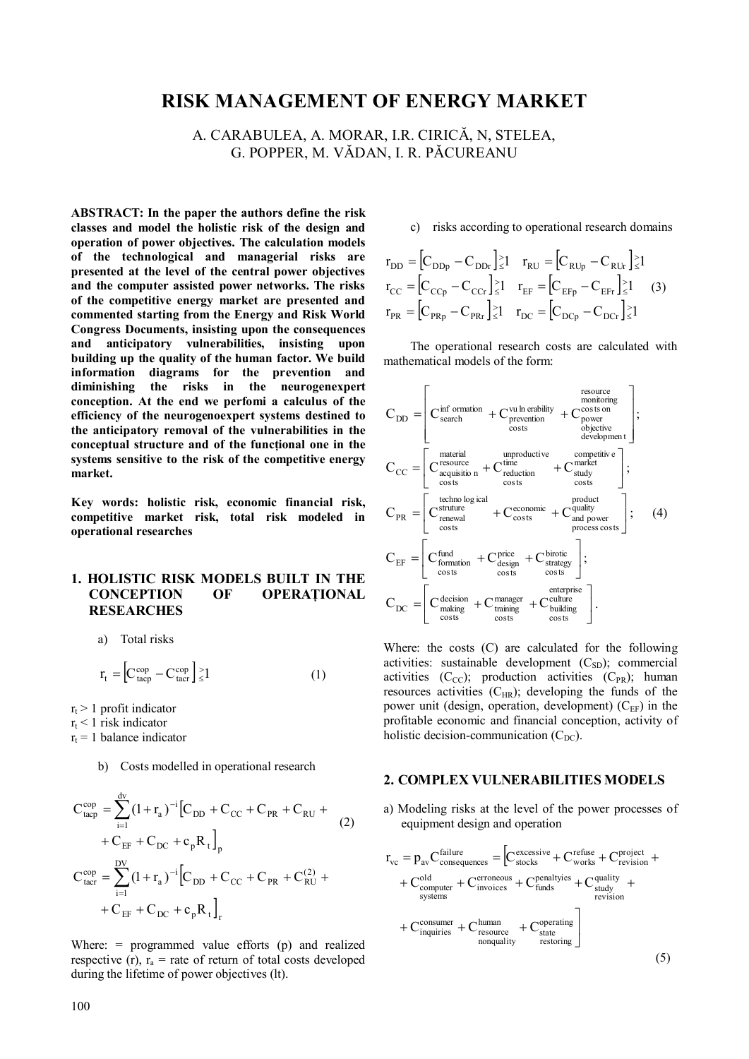# **RISK MANAGEMENT OF ENERGY MARKET**

A. CARABULEA, A. MORAR, I.R. CIRICĂ, N, STELEA, G. POPPER, M. VĂDAN, I. R. PĂCUREANU

**ABSTRACT: In the paper the authors define the risk classes and model the holistic risk of the design and operation of power objectives. The calculation models of the technological and managerial risks are presented at the level of the central power objectives and the computer assisted power networks. The risks of the competitive energy market are presented and commented starting from the Energy and Risk World Congress Documents, insisting upon the consequences and anticipatory vulnerabilities, insisting upon building up the quality of the human factor. We build information diagrams for the prevention and diminishing the risks in the neurogenexpert conception. At the end we perfomi a calculus of the efficiency of the neurogenoexpert systems destined to the anticipatory removal of the vulnerabilities in the**  conceptual structure and of the functional one in the **systems sensitive to the risk of the competitive energy market.** 

**Key words: holistic risk, economic financial risk, competitive market risk, total risk modeled in operational researches** 

## **1. HOLISTIC RISK MODELS BUILT IN THE CONCEPTION OF OPERAŢIONAL RESEARCHES**

a) Total risks

$$
r_{t} = \left[C_{\text{tacp}}^{\text{cop}} - C_{\text{tacr}}^{\text{cop}}\right] \ge 1\tag{1}
$$

 $r_t$  > 1 profit indicator

 $r_t$  < 1 risk indicator

d<sub>u</sub>

 $r_t = 1$  balance indicator

b) Costs modelled in operational research

$$
C_{\text{tapp}}^{\text{cop}} = \sum_{i=1}^{\text{av}} (1 + r_a)^{-i} \left[ C_{\text{DD}} + C_{\text{CC}} + C_{\text{PR}} + C_{\text{RU}} + \right. \\
\left. + C_{\text{EF}} + C_{\text{DC}} + c_p R_t \right]_p \\
C_{\text{tarr}}^{\text{cop}} = \sum_{i=1}^{\text{DV}} (1 + r_a)^{-i} \left[ C_{\text{DD}} + C_{\text{CC}} + C_{\text{PR}} + C_{\text{RU}}^{(2)} + \right. \\
\left. + C_{\text{EF}} + C_{\text{DC}} + c_p R_t \right]_r
$$

Where: = programmed value efforts (p) and realized respective (r),  $r_a$  = rate of return of total costs developed during the lifetime of power objectives (lt).

c) risks according to operational research domains

$$
r_{DD} = [C_{DDp} - C_{DDr}]_{\leq 1}^{>} \t r_{RU} = [C_{RUp} - C_{RUr}]_{\leq 1}^{>} \n r_{CC} = [C_{CCp} - C_{CCr}]_{\leq 1}^{>} \t r_{EF} = [C_{EFp} - C_{EFr}]_{\leq 1}^{>} \t (3) \n r_{PR} = [C_{PRp} - C_{PRr}]_{\leq 1}^{>} \t r_{DC} = [C_{DCp} - C_{DCr}]_{\leq 1}^{>}
$$

The operational research costs are calculated with mathematical models of the form:

$$
C_{DD} = \begin{bmatrix} \text{C}^{\text{inf}}_{\text{search}} & + \text{C}^{\text{vu} \text{ in erability}}_{\text{prevention}} & + \text{C}^{\text{cosits}}_{\text{power}} \\ \text{C}_{\text{search}} & + \text{C}^{\text{true}}_{\text{power}} & + \text{C}^{\text{cosits}}_{\text{objective}} \\ \text{C}_{\text{ce}} = \begin{bmatrix} \text{material} & \text{unproductive} & \text{competitive} \\ \text{C}^{\text{resouice}}_{\text{equilibrium}} & + \text{C}^{\text{triduction}}_{\text{reduction}} & + \text{C}^{\text{matrix}}_{\text{study}} \\ \text{costs} & \text{costs} & \text{costs} \end{bmatrix}; \\ C_{PR} = \begin{bmatrix} \text{tekho log} \text{ isal} \\ \text{C}^{\text{structure}}_{\text{renewal}} & + \text{C}^{\text{economic}}_{\text{costs}} & + \text{C}^{\text{quality}}_{\text{process}\text{ costs}} \\ \text{C}_{\text{B}F} = \begin{bmatrix} \text{c}^{\text{fund}}_{\text{formation}} & + \text{C}^{\text{price}}_{\text{costs}} & + \text{C}^{\text{strict}}_{\text{strategy}} \\ \text{C}^{\text{formation}}_{\text{costs}} & \text{costs} & \text{costs} \end{bmatrix}; \\ C_{DC} = \begin{bmatrix} \text{C}^{\text{decision}}_{\text{making}} & + \text{C}^{\text{manger}}_{\text{training}} & + \text{C}^{\text{culture}}_{\text{building}} \\ \text{costs} & \text{costs} & \text{costs} \end{bmatrix}.
$$

Where: the costs (C) are calculated for the following activities: sustainable development  $(C_{SD})$ ; commercial activities  $(C_{CC})$ ; production activities  $(C_{PR})$ ; human resources activities  $(C_{HR})$ ; developing the funds of the power unit (design, operation, development)  $(C_{EF})$  in the profitable economic and financial conception, activity of holistic decision-communication  $(C_{DC})$ .

#### **2. COMPLEX VULNERABILITIES MODELS**

a) Modeling risks at the level of the power processes of equipment design and operation

$$
r_{vc} = p_{av}C_{\text{consequences}}^{\text{failure}} = \left[C_{\text{stocks}}^{\text{excessive}} + C_{\text{works}}^{\text{refuse}} + C_{\text{revision}}^{\text{project}} + \right.
$$
  
+  $C_{\text{computer}}^{\text{old}} + C_{\text{invocies}}^{\text{eroneous}} + C_{\text{finds}}^{\text{penaltyies}} + C_{\text{sudy}}^{\text{quality}} + \right.$   
+  $C_{\text{systems}}^{\text{consumer}} + C_{\text{resource}}^{\text{human}} + C_{\text{state}}^{\text{operation}}$   
+  $C_{\text{inquires}}^{\text{consumer}} + C_{\text{resource}}^{\text{human}}$   
nonquality  
to(5)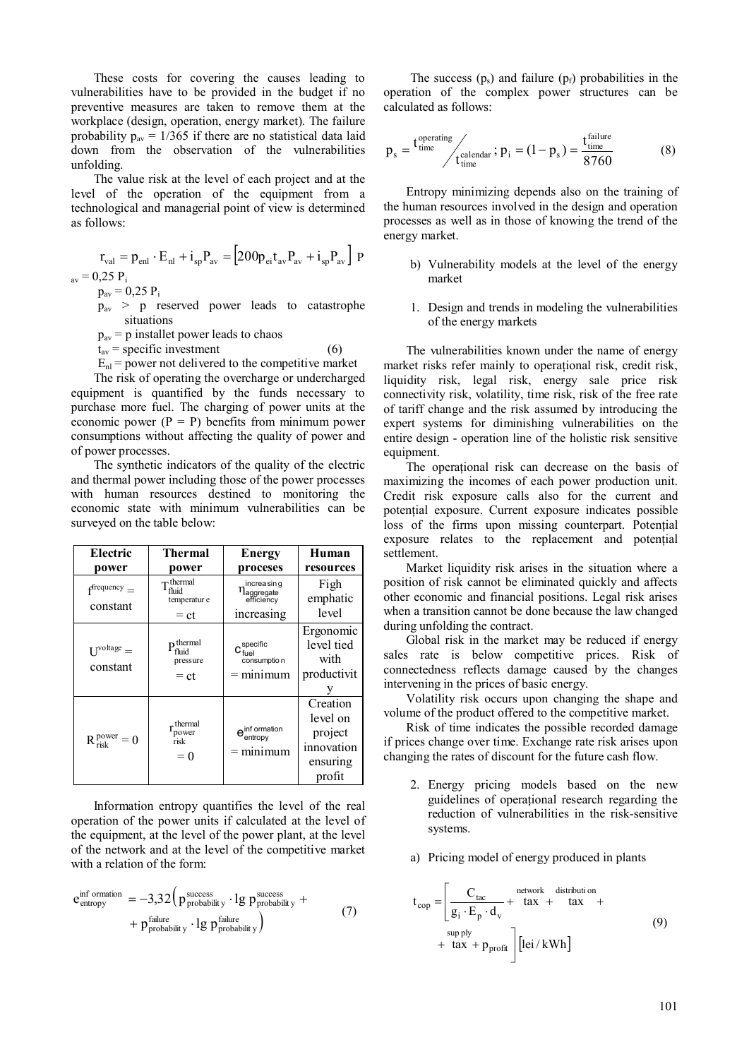These costs for covering the causes leading to vulnerabilities have to be provided in the budget if no preventive measures are taken to remove them at the workplace (design, operation, energy market). The failure probability  $p_{av} = 1/365$  if there are no statistical data laid down from the observation of the vulnerabilities unfolding.

The value risk at the level of each project and at the level of the operation of the equipment from a technological and managerial point of view is determined as follows:

$$
r_{val} = p_{enl} \cdot E_{nl} + i_{sp} P_{av} = [200 p_{ei} t_{av} P_{av} + i_{sp} P_{av}] P
$$
  
= 0.25 R

 $_{\rm av}$  = 0,25  $\rm P_i$ 

- $p_{av} = 0.25 P_i$ pav > p reserved power leads to catastrophe
- situations
- $p<sub>av</sub> = p$  installet power leads to chaos
- $t_{av}$  = specific investment (6)  $E_{nl}$  = power not delivered to the competitive market

The risk of operating the overcharge or undercharged equipment is quantified by the funds necessary to purchase more fuel. The charging of power units at the economic power  $(P = P)$  benefits from minimum power consumptions without affecting the quality of power and of power processes.

The synthetic indicators of the quality of the electric and thermal power including those of the power processes with human resources destined to monitoring the economic state with minimum vulnerabilities can be surveyed on the table below:

| Electric                             | Thermal                                             | <b>Energy</b>                                                      | Human                                                               |
|--------------------------------------|-----------------------------------------------------|--------------------------------------------------------------------|---------------------------------------------------------------------|
| power                                | power                                               | proceses                                                           | resources                                                           |
| $f^{\text{frequency}} =$<br>constant | $\tau$ thermal<br>fhuid<br>temperatur e<br>$= ct$   | increasing<br>$\eta_{\text{aggregate}}^{\text{max}}$<br>increasing | Figh<br>emphatic<br>level                                           |
| $I^{\text{voltage}} =$<br>constant   | $\mathbf{p}$ thermal<br>fluid<br>pressure<br>$= ct$ | $C_{\text{fuel}}^{\text{specific}}$<br>consumptio n<br>$=$ minimum | Ergonomic<br>level tied<br>with<br>productivit                      |
| $R_{\text{risk}}^{\text{power}} = 0$ | thermal<br>power<br>risk<br>$= 0$                   | e <sup>inf</sup> ormation<br>$=$ minimum                           | Creation<br>level on<br>project<br>innovation<br>ensuring<br>profit |

Information entropy quantifies the level of the real operation of the power units if calculated at the level of the equipment, at the level of the power plant, at the level of the network and at the level of the competitive market with a relation of the form:

$$
e_{entropy}^{inf\;ormation} = -3.32 \Big( p_{probability}^{success} \cdot \lg p_{probability}^{success} + p_{probability}^{failure} \cdot \lg p_{probability}^{static} \Big)
$$
\n
$$
+ p_{probability}^{failure} \cdot \lg p_{probability}^{failure} \Big)
$$
\n(7)

The success  $(p_s)$  and failure  $(p_f)$  probabilities in the operation of the complex power structures can be calculated as follows:

$$
p_s = \frac{t_{time}^{\text{operating}}}{t_{time}^{\text{calendar}}}; p_i = (1 - p_s) = \frac{t_{time}^{\text{failure}}}{8760}
$$
(8)

Entropy minimizing depends also on the training of the human resources involved in the design and operation processes as well as in those of knowing the trend of the energy market.

- b) Vulnerability models at the level of the energy market
- 1. Design and trends in modeling the vulnerabilities of the energy markets

The vulnerabilities known under the name of energy market risks refer mainly to operational risk, credit risk, liquidity risk, legal risk, energy sale price risk connectivity risk, volatility, time risk, risk of the free rate of tariff change and the risk assumed by introducing the expert systems for diminishing vulnerabilities on the entire design - operation line of the holistic risk sensitive equipment.

The operaţional risk can decrease on the basis of maximizing the incomes of each power production unit. Credit risk exposure calls also for the current and potenţial exposure. Current exposure indicates possible loss of the firms upon missing counterpart. Potenţial exposure relates to the replacement and potenţial settlement.

Market liquidity risk arises in the situation where a position of risk cannot be eliminated quickly and affects other economic and financial positions. Legal risk arises when a transition cannot be done because the law changed during unfolding the contract.

Global risk in the market may be reduced if energy sales rate is below competitive prices. Risk of connectedness reflects damage caused by the changes intervening in the prices of basic energy.

Volatility risk occurs upon changing the shape and volume of the product offered to the competitive market.

Risk of time indicates the possible recorded damage if prices change over time. Exchange rate risk arises upon changing the rates of discount for the future cash flow.

- 2. Energy pricing models based on the new guidelines of operaţional research regarding the reduction of vulnerabilities in the risk-sensitive systems.
- a) Pricing model of energy produced in plants

$$
t_{\text{cop}} = \left[ \frac{C_{\text{tac}}}{g_i \cdot E_p \cdot d_v} + \begin{array}{c} \text{network} & \text{distribution} \\ \text{tax} & + \text{tax} & + \text{tax} \\ + & \text{tax} & + \text{p}_{\text{profit}} \end{array} \right] \tag{9}
$$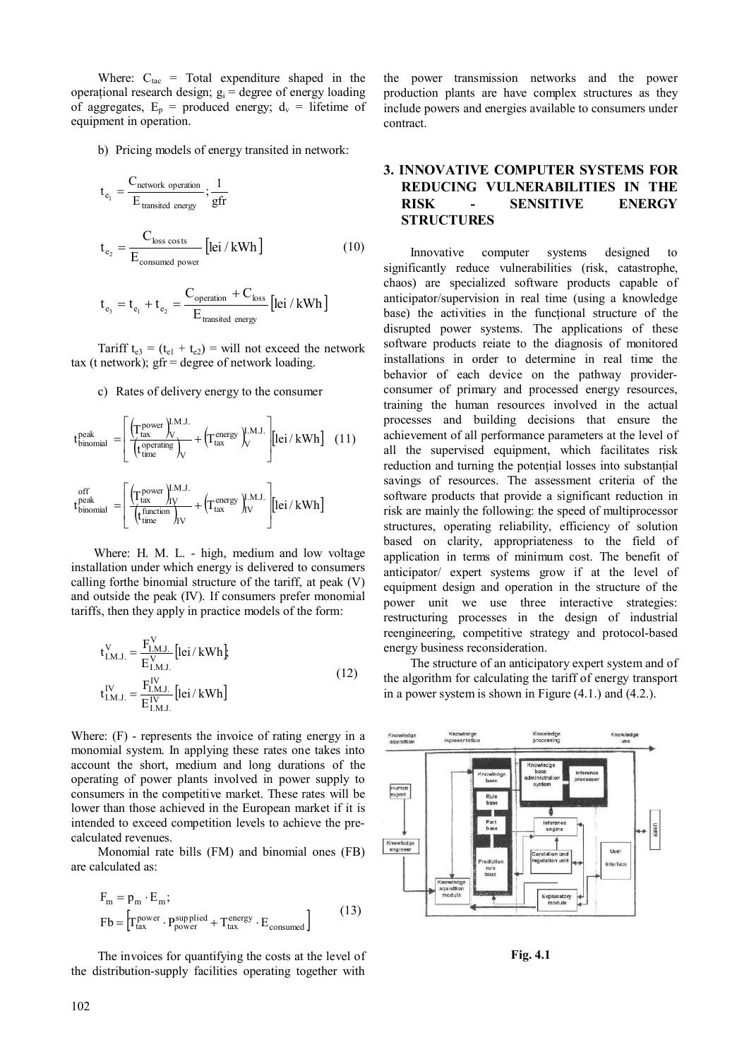Where:  $C_{\text{tac}}$  = Total expenditure shaped in the operațional research design;  $g_i$  = degree of energy loading of aggregates,  $E_p$  = produced energy;  $d_v$  = lifetime of equipment in operation.

b) Pricing models of energy transited in network:

$$
t_{e_1} = \frac{C_{network\,\,operation}}{E_{transited\,\,energy}}; \frac{1}{gfr}
$$
  

$$
t_{e_2} = \frac{C_{loss\,\,costs}}{E_{consumed\,\,power}} [lei / kWh]
$$
 (10)

$$
t_{e_3} = t_{e_1} + t_{e_2} = \frac{C_{operation} + C_{loss}}{E_{transited energy}} \text{[lei / kWh]}
$$

Tariff  $t_{e3} = (t_{e1} + t_{e2})$  = will not exceed the network tax (t network);  $gfr = degree$  of network loading.

c) Rates of delivery energy to the consumer

$$
t_{\text{binomial}}^{\text{peak}} = \left[ \frac{\left(T_{\text{tax}}^{\text{power}}\right)^{\text{I.M.J.}}_{V}}{\left(t_{\text{time}}^{\text{operating}}\right)_{V}} + \left(T_{\text{tax}}^{\text{energy}}\right)^{\text{I.M.J.}}_{V} \right] [\text{lei}/\text{kWh}] \quad (11)
$$
  

$$
t_{\text{binomial}}^{\text{off}} = \left[ \frac{\left(T_{\text{tax}}^{\text{power}}\right)^{\text{I.M.J.}}_{IV}}{\left(t_{\text{time}}^{\text{function}}\right)_{IV}} + \left(T_{\text{tax}}^{\text{energy}}\right)^{\text{I.M.J.}}_{IV} \right] [\text{lei}/\text{kWh}]
$$

Where: H. M. L. - high, medium and low voltage installation under which energy is delivered to consumers calling forthe binomial structure of the tariff, at peak (V) and outside the peak (IV). If consumers prefer monomial tariffs, then they apply in practice models of the form:

$$
t_{I.M.J.}^{V} = \frac{F_{I.M.J.}^{V}}{E_{I.M.J.}^{V}} [lei / kWh] \nt_{I.M.J.}^{IV} = \frac{F_{I.M.J.}^{IV}}{E_{I.M.J.}^{IV}} [lei / kWh]
$$
\n(12)

Where: (F) - represents the invoice of rating energy in a monomial system. In applying these rates one takes into account the short, medium and long durations of the operating of power plants involved in power supply to consumers in the competitive market. These rates will be lower than those achieved in the European market if it is intended to exceed competition levels to achieve the precalculated revenues.

Monomial rate bills (FM) and binomial ones (FB) are calculated as:

$$
F_m = p_m \cdot E_m;
$$
  
\n
$$
Fb = \left[ T_{tax}^{power} \cdot P_{power}^{supplied} + T_{tax}^{energy} \cdot E_{consumed} \right]
$$
\n(13)

 The invoices for quantifying the costs at the level of the distribution-supply facilities operating together with

the power transmission networks and the power production plants are have complex structures as they include powers and energies available to consumers under contract.

# **3. INNOVATIVE COMPUTER SYSTEMS FOR REDUCING VULNERABILITIES IN THE RISK - SENSITIVE ENERGY STRUCTURES**

 Innovative computer systems designed to significantly reduce vulnerabilities (risk, catastrophe, chaos) are specialized software products capable of anticipator/supervision in real time (using a knowledge base) the activities in the functional structure of the disrupted power systems. The applications of these software products reiate to the diagnosis of monitored installations in order to determine in real time the behavior of each device on the pathway providerconsumer of primary and processed energy resources, training the human resources involved in the actual processes and building decisions that ensure the achievement of all performance parameters at the level of all the supervised equipment, which facilitates risk reduction and turning the potential losses into substantial savings of resources. The assessment criteria of the software products that provide a significant reduction in risk are mainly the following: the speed of multiprocessor structures, operating reliability, efficiency of solution based on clarity, appropriateness to the field of application in terms of minimum cost. The benefit of anticipator/ expert systems grow if at the level of equipment design and operation in the structure of the power unit we use three interactive strategies: restructuring processes in the design of industrial reengineering, competitive strategy and protocol-based energy business reconsideration.

The structure of an anticipatory expert system and of the algorithm for calculating the tariff of energy transport in a power system is shown in Figure (4.1.) and (4.2.).



**Fig. 4.1**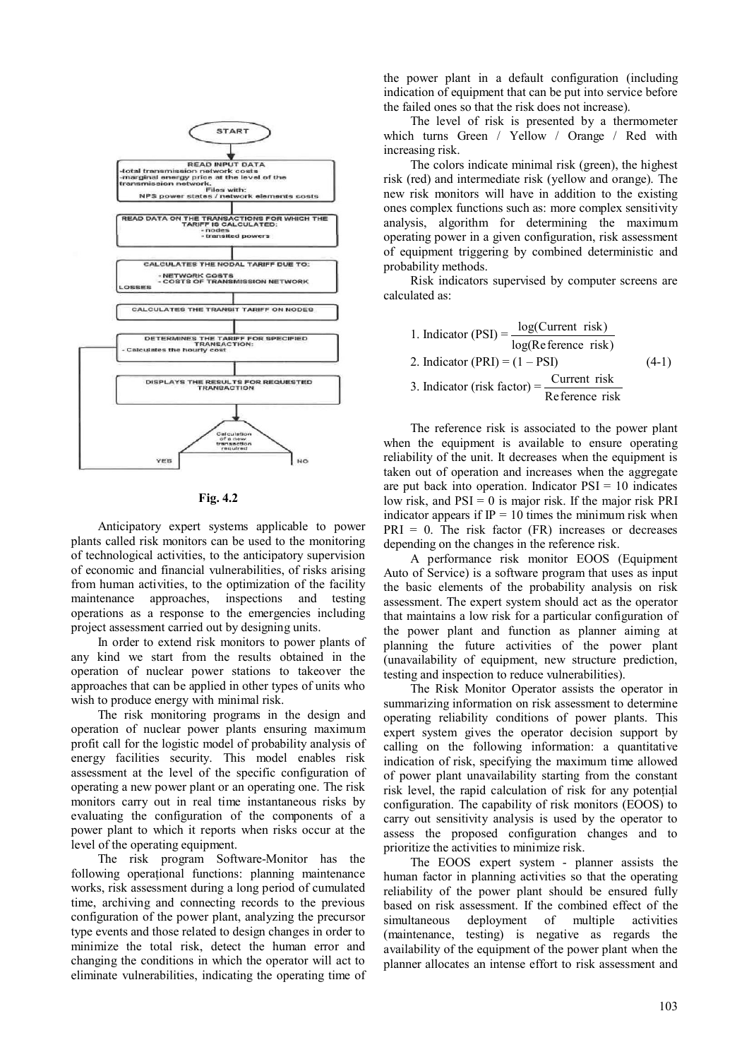

**Fig. 4.2** 

Anticipatory expert systems applicable to power plants called risk monitors can be used to the monitoring of technological activities, to the anticipatory supervision of economic and financial vulnerabilities, of risks arising from human activities, to the optimization of the facility maintenance approaches, inspections and testing operations as a response to the emergencies including project assessment carried out by designing units.

In order to extend risk monitors to power plants of any kind we start from the results obtained in the operation of nuclear power stations to takeover the approaches that can be applied in other types of units who wish to produce energy with minimal risk.

The risk monitoring programs in the design and operation of nuclear power plants ensuring maximum profit call for the logistic model of probability analysis of energy facilities security. This model enables risk assessment at the level of the specific configuration of operating a new power plant or an operating one. The risk monitors carry out in real time instantaneous risks by evaluating the configuration of the components of a power plant to which it reports when risks occur at the level of the operating equipment.

The risk program Software-Monitor has the following operaţional functions: planning maintenance works, risk assessment during a long period of cumulated time, archiving and connecting records to the previous configuration of the power plant, analyzing the precursor type events and those related to design changes in order to minimize the total risk, detect the human error and changing the conditions in which the operator will act to eliminate vulnerabilities, indicating the operating time of

the power plant in a default configuration (including indication of equipment that can be put into service before the failed ones so that the risk does not increase).

The level of risk is presented by a thermometer which turns Green / Yellow / Orange / Red with increasing risk.

The colors indicate minimal risk (green), the highest risk (red) and intermediate risk (yellow and orange). The new risk monitors will have in addition to the existing ones complex functions such as: more complex sensitivity analysis, algorithm for determining the maximum operating power in a given configuration, risk assessment of equipment triggering by combined deterministic and probability methods.

Risk indicators supervised by computer screens are calculated as:

\n- Indicator (PSI) = 
$$
\frac{\log(\text{Current risk})}{\log(\text{Reference risk})}
$$
\n- Indicator (PRI) = (1 – PSI) (4-1)
\n- Indicator (risk factor) =  $\frac{\text{Current risk}}{\text{Reference risk}}$
\n

The reference risk is associated to the power plant when the equipment is available to ensure operating reliability of the unit. It decreases when the equipment is taken out of operation and increases when the aggregate are put back into operation. Indicator  $PSI = 10$  indicates low risk, and  $PSI = 0$  is major risk. If the major risk PRI indicator appears if  $IP = 10$  times the minimum risk when  $PRI = 0$ . The risk factor  $(FR)$  increases or decreases depending on the changes in the reference risk.

A performance risk monitor EOOS (Equipment Auto of Service) is a software program that uses as input the basic elements of the probability analysis on risk assessment. The expert system should act as the operator that maintains a low risk for a particular configuration of the power plant and function as planner aiming at planning the future activities of the power plant (unavailability of equipment, new structure prediction, testing and inspection to reduce vulnerabilities).

The Risk Monitor Operator assists the operator in summarizing information on risk assessment to determine operating reliability conditions of power plants. This expert system gives the operator decision support by calling on the following information: a quantitative indication of risk, specifying the maximum time allowed of power plant unavailability starting from the constant risk level, the rapid calculation of risk for any potenţial configuration. The capability of risk monitors (EOOS) to carry out sensitivity analysis is used by the operator to assess the proposed configuration changes and to prioritize the activities to minimize risk.

The EOOS expert system - planner assists the human factor in planning activities so that the operating reliability of the power plant should be ensured fully based on risk assessment. If the combined effect of the simultaneous deployment of multiple activities (maintenance, testing) is negative as regards the availability of the equipment of the power plant when the planner allocates an intense effort to risk assessment and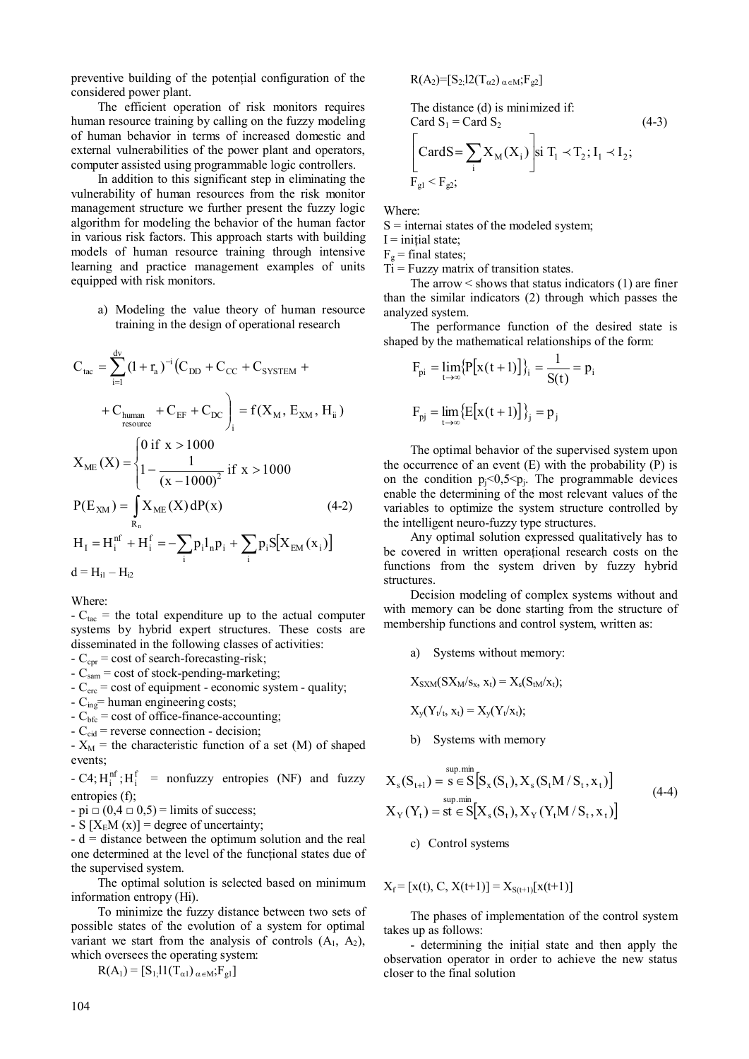preventive building of the potential configuration of the considered power plant.

The efficient operation of risk monitors requires human resource training by calling on the fuzzy modeling of human behavior in terms of increased domestic and external vulnerabilities of the power plant and operators, computer assisted using programmable logic controllers.

 In addition to this significant step in eliminating the vulnerability of human resources from the risk monitor management structure we further present the fuzzy logic algorithm for modeling the behavior of the human factor in various risk factors. This approach starts with building models of human resource training through intensive learning and practice management examples of units equipped with risk monitors.

a) Modeling the value theory of human resource training in the design of operational research

$$
C_{\text{tac}} = \sum_{i=1}^{d_{\text{V}}} (1 + r_{\text{a}})^{-i} (C_{\text{DD}} + C_{\text{CC}} + C_{\text{SYSTEM}} +
$$
  
+  $C_{\text{human}} + C_{\text{EF}} + C_{\text{DC}} \Big]_{i} = f(X_{\text{M}}, E_{\text{XM}}, H_{i i})$   

$$
X_{\text{ME}}(X) = \begin{cases} 0 \text{ if } x > 1000 \\ 1 - \frac{1}{(x - 1000)^{2}} \text{ if } x > 1000 \end{cases}
$$
  

$$
P(E_{\text{XM}}) = \int_{R_{\text{n}}} X_{\text{ME}}(X) dP(x) \qquad (4-2)
$$
  

$$
H_{\text{I}} = H_{i}^{\text{nf}} + H_{i}^{\text{f}} = -\sum_{i} p_{i} l_{\text{n}} p_{i} + \sum_{i} p_{i} S[X_{\text{EM}}(x_{i})]
$$
  

$$
d = H_{i1} - H_{i2}
$$

Where:

 $-C<sub>tac</sub>$  = the total expenditure up to the actual computer systems by hybrid expert structures. These costs are disseminated in the following classes of activities:

- $C_{\text{cor}}$  = cost of search-forecasting-risk;
- $-C_{\text{sam}} = \text{cost of stock-pending-marketing}$ ;
- $-C<sub>erc</sub> = cost of equipment economic system quality;$
- $C_{ing}$ = human engineering costs;
- $-C<sub>bfc</sub> = cost of office-finance-accounting;$
- $-C_{\text{cid}}$  = reverse connection decision;

-  $X_M$  = the characteristic function of a set (M) of shaped events;

- C4;  $H_i^{nf}$ ;  $H_i^f$  = nonfuzzy entropies (NF) and fuzzy entropies (f);

 $-pi \square (0,4 \square 0,5) =$  limits of success;

- S  $[X<sub>E</sub>M(x)]$  = degree of uncertainty;

 $-d =$  distance between the optimum solution and the real one determined at the level of the functional states due of the supervised system.

The optimal solution is selected based on minimum information entropy (Hi).

To minimize the fuzzy distance between two sets of possible states of the evolution of a system for optimal variant we start from the analysis of controls  $(A_1, A_2)$ , which oversees the operating system:

$$
R(A_1) = [S_1, 11(T_{\alpha 1})_{\alpha \in M}; F_{gl}]
$$

$$
R(A_2) = [S_2] 2(T_{\alpha 2})_{\alpha \in M}; F_{g2}]
$$

The distance (d) is minimized if:  
\nCard S<sub>1</sub> = Card S<sub>2</sub> (4-3)  
\n
$$
\left[ \text{CardS} = \sum_{i} X_{M}(X_{i}) \right] \sin T_{1} \prec T_{2}; I_{1} \prec I_{2};
$$
\n
$$
F_{gl} \prec F_{g2};
$$

Where:

 $S =$  internai states of the modeled system;

 $I = initial state;$ 

 $F_g$  = final states;

 $Ti = Fuzzy matrix of transition states.$ 

The arrow  $\leq$  shows that status indicators (1) are finer than the similar indicators (2) through which passes the analyzed system.

The performance function of the desired state is shaped by the mathematical relationships of the form:

$$
F_{pi} = \lim_{t \to \infty} \{ P[x(t+1)] \}_i = \frac{1}{S(t)} = p_i
$$
  

$$
F_{pj} = \lim_{t \to \infty} \{ E[x(t+1)] \}_j = p_j
$$

The optimal behavior of the supervised system upon the occurrence of an event  $(E)$  with the probability  $(P)$  is on the condition  $p_i \leq 0,5 \leq p_i$ . The programmable devices enable the determining of the most relevant values of the variables to optimize the system structure controlled by the intelligent neuro-fuzzy type structures.

Any optimal solution expressed qualitatively has to be covered in written operaţional research costs on the functions from the system driven by fuzzy hybrid structures.

Decision modeling of complex systems without and with memory can be done starting from the structure of membership functions and control system, written as:

a) Systems without memory:

$$
X_{SXM}(SX_M/s_x,\,x_t)=X_s(S_{tM}/x_t);
$$

$$
X_y(Y_t|_t, x_t) = X_y(Y_t|x_t);
$$

b) Systems with memory

$$
X_{s}(S_{t+1}) = s \in S[S_{x}(S_{t}), X_{s}(S_{t}M/S_{t}, x_{t})]
$$
  
\n
$$
X_{Y}(Y_{t}) = st \in S[X_{s}(S_{t}), X_{Y}(Y_{t}M/S_{t}, x_{t})]
$$
\n(4-4)

c) Control systems

 $X_f = [x(t), C, X(t+1)] = X_{S(t+1)}[x(t+1)]$ 

The phases of implementation of the control system takes up as follows:

- determining the initial state and then apply the observation operator in order to achieve the new status closer to the final solution